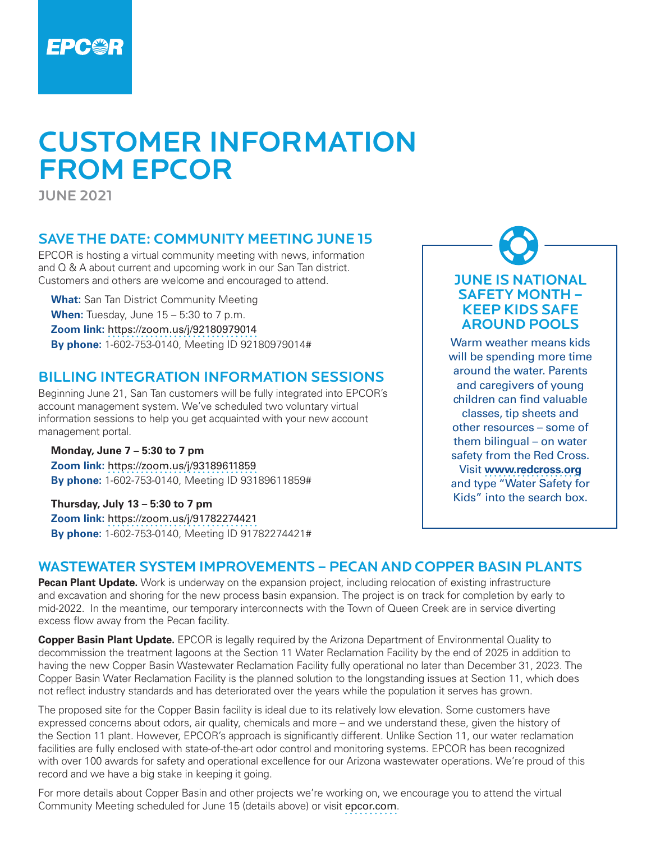

# CUSTOMER INFORMATION FROM EPCOR

JUNE 2021

# SAVE THE DATE: COMMUNITY MEETING JUNE 15

EPCOR is hosting a virtual community meeting with news, information and Q & A about current and upcoming work in our San Tan district. Customers and others are welcome and encouraged to attend.

**What:** San Tan District Community Meeting **When:** Tuesday, June 15 – 5:30 to 7 p.m. **Zoom link:** <https://zoom.us/j/92180979014> **By phone:** 1-602-753-0140, Meeting ID 92180979014#

#### BILLING INTEGRATION INFORMATION SESSIONS

Beginning June 21, San Tan customers will be fully integrated into EPCOR's account management system. We've scheduled two voluntary virtual information sessions to help you get acquainted with your new account management portal.

#### **Monday, June 7 – 5:30 to 7 pm Zoom link:** <https://zoom.us/j/93189611859> **By phone:** 1-602-753-0140, Meeting ID 93189611859#

**Thursday, July 13 – 5:30 to 7 pm Zoom link:** <https://zoom.us/j/91782274421>

**By phone:** 1-602-753-0140, Meeting ID 91782274421#

# WASTEWATER SYSTEM IMPROVEMENTS – PECAN AND COPPER BASIN PLANTS

**Pecan Plant Update.** Work is underway on the expansion project, including relocation of existing infrastructure and excavation and shoring for the new process basin expansion. The project is on track for completion by early to mid-2022. In the meantime, our temporary interconnects with the Town of Queen Creek are in service diverting excess flow away from the Pecan facility.

**Copper Basin Plant Update.** EPCOR is legally required by the Arizona Department of Environmental Quality to decommission the treatment lagoons at the Section 11 Water Reclamation Facility by the end of 2025 in addition to having the new Copper Basin Wastewater Reclamation Facility fully operational no later than December 31, 2023. The Copper Basin Water Reclamation Facility is the planned solution to the longstanding issues at Section 11, which does not reflect industry standards and has deteriorated over the years while the population it serves has grown.

The proposed site for the Copper Basin facility is ideal due to its relatively low elevation. Some customers have expressed concerns about odors, air quality, chemicals and more – and we understand these, given the history of the Section 11 plant. However, EPCOR's approach is significantly different. Unlike Section 11, our water reclamation facilities are fully enclosed with state-of-the-art odor control and monitoring systems. EPCOR has been recognized with over 100 awards for safety and operational excellence for our Arizona wastewater operations. We're proud of this record and we have a big stake in keeping it going.

For more details about Copper Basin and other projects we're working on, we encourage you to attend the virtual Community Meeting scheduled for June 15 (details above) or visit [epcor.com](http://www.epcor.com).



Warm weather means kids will be spending more time around the water. Parents and caregivers of young children can find valuable classes, tip sheets and other resources – some of them bilingual – on water safety from the Red Cross. Visit **[www.redcross.org](https://www.redcross.org/get-help/how-to-prepare-for-emergencies/types-of-emergencies/water-safety/water-safety-for-kids.html)** and type "Water Safety for Kids" into the search box.